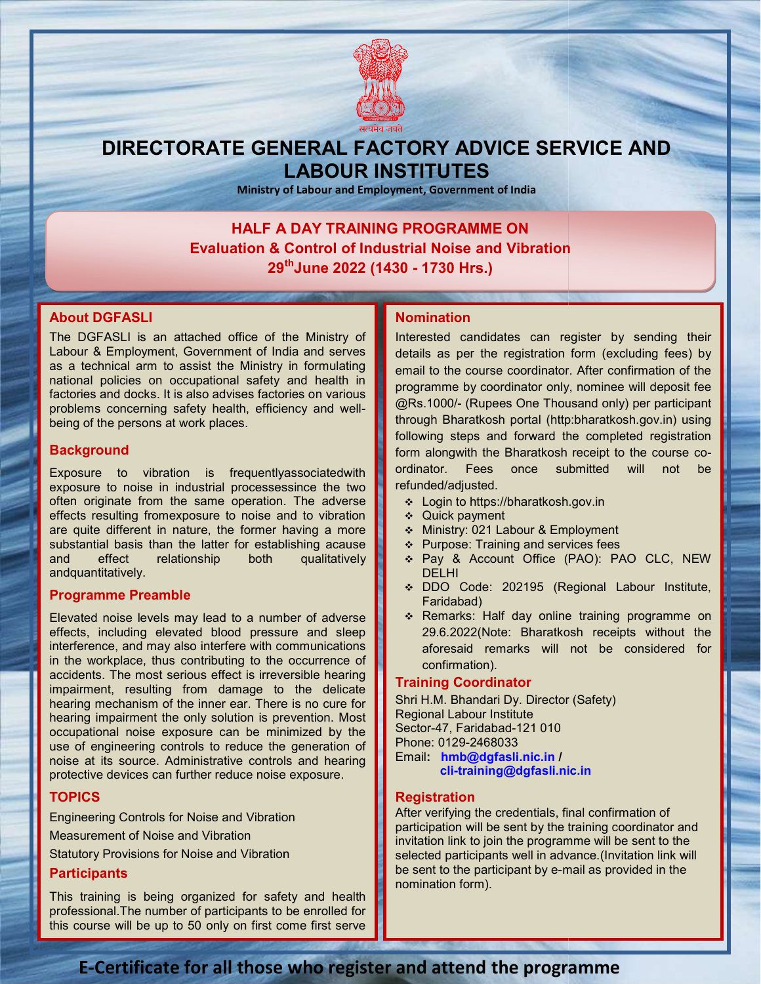

# DIRECTORATE GENERAL FACTORY ADVICE SERVICE AND LABOUR INSTITUTES

Ministry of Labour and Employment, Government of India

## HALF A DAY TRAINING PROGRAMME ON HALF A DAY TRAINING PROGRAMME ON<br>Evaluation & Control of Industrial Noise and Vibration 29<sup>th</sup>June 2022 (1430 - 1730 Hrs.)

## About DGFASLI

The DGFASLI is an attached office of the Ministry of Labour & Employment, Government of India and serves as a technical arm to assist the Ministry in formulating national policies on occupational safety and health in factories and docks. It is also advises factories on various problems concerning safety health, efficiency and wellbeing of the persons at work places. The DGFASLI is an attached office of the Ministry of<br>Labour & Employment, Government of India and serves<br>as a technical arm to assist the Ministry in formulating<br>national policies on occupational safety and health in<br>facto

## **Background**

Exposure to vibration is frequentlyassociatedwith exposure to noise in industrial processessince the two often originate from the same operation. The adverse effects resulting fromexposure to noise and to vibration are quite different in nature, the former having a more substantial basis than the latter for establishing acause and effect relationship both qualitatively andquantitatively. to vibration is frequentlyassociatedwith<br>noise in industrial processessince the two<br>ate from the same operation. The adverse

## Programme Preamble

Elevated noise levels may lead to a number of adverse effects, including elevated blood pressure and sleep interference, and may also interfere with communications in the workplace, thus contributing to the occurrence of accidents. The most serious effect is irreversible hearing impairment, resulting from damage to the delicate hearing mechanism of the inner ear. There is no cure for hearing impairment the only solution is prevention. Most occupational noise exposure can be minimized by the use of engineering controls to reduce the generation of noise at its source. Administrative controls and hearing protective devices can further reduce noise exposure. **bout DGFASLI** is an attached office of the Ministry of<br>
hear of Sasting Marchind and serves details as performed are the constrained in the estation entity in formulating email to the constrained decks it is also advises

## TOPICS

basis.

Engineering Controls for Noise and Vibration Measurement of Noise and Vibration Statutory Provisions for Noise and Vibration **Participants** 

## This training is being organized for safety and health professional.The number of participants to be enrolled for this course will be up to 50 only on first come first serve

Interested candidates can register by sending their details as per the registration form (excluding fees) by email to the course coordinator. After confirmation of the programme by coordinator only, nominee will deposit fee Interested candidates can register by sending their<br>details as per the registration form (excluding fees) by<br>email to the course coordinator. After confirmation of the<br>programme by coordinator only, nominee will deposit fe through Bharatkosh portal (http:bharatkosh.gov.in) using following steps and forward the completed registration following steps and forward the completed registration<br>form alongwith the Bharatkosh receipt to the course coordinator. Fees once submitted will not be refunded/adjusted.

- Login to https://bharatkosh.gov.in
- Quick payment
- Ministry: 021 Labour & Employment
- ❖ Purpose: Training and services fees
- Pay & Account Office (PAO): PAO CLC, NEW DELHI ator. Fees once submitted will not be<br>ded/adjusted.<br>Login to https://bharatkosh.gov.in<br>Quick payment<br>Ministry: 021 Labour & Employment<br>Purpose: Training and services fees<br>Pay & Account Office (PAO): PAO CLC, NEW<br>DELHI<br>DDO
- DDO Code: 202195 (Regional Labour Institute, Faridabad)
- \* Remarks: Half day online training programme on 29.6.2022(Note: Bharatkosh receipts without the 29.6.2022(Note: Bharatkosh receipts without the<br>aforesaid remarks will not be considered for confirmation).

## Training Coordinator

Shri H.M. Bhandari Dy. Director (Safety) Regional Labour Institute Sector-47, Faridabad-121 010 Phone: 0129-2468033 Email: hmb@dgfasli.nic.in / cli-training@dgfasli.nic.in training@dgfasli.nic.in

## **Registration**

After verifying the credentials, final confirmation of participation will be sent by the training coordinator and invitation link to join the programme will be sent to the selected participants well in advance. (Invitation link will be sent to the participant by e-mail as provided in the nomination form). ie credentials, final confirmation of<br>be sent by the training coordinator and<br>join the programme will be sent to the<br>vants well in advance.(Invitation link will

## E-Certificate for all those who register and attend the programme